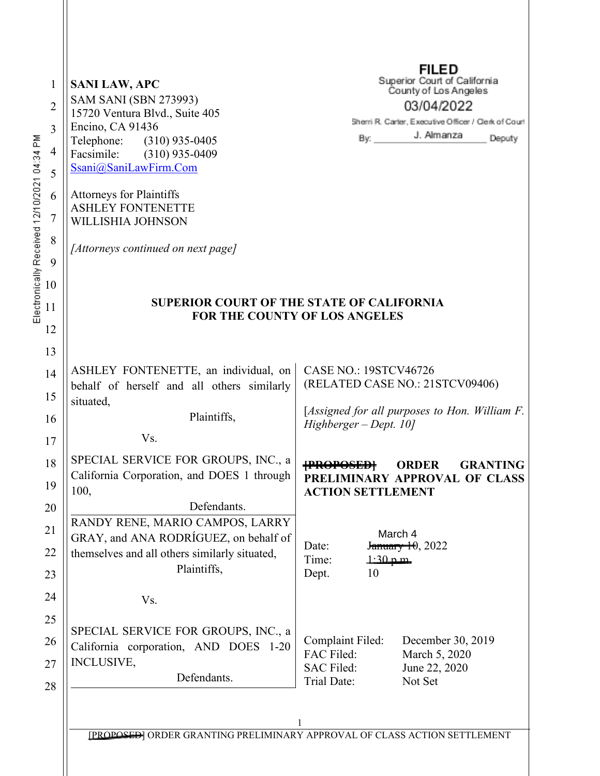| 1<br>$\overline{2}$<br>3<br>Electronically Received 12/10/2021 04:34 PM<br>$\overline{4}$<br>5<br>6<br>7<br>8<br>9 | <b>SANI LAW, APC</b><br><b>SAM SANI (SBN 273993)</b><br>15720 Ventura Blvd., Suite 405<br>Encino, CA 91436<br>Telephone: (310) 935-0405<br>Facsimile:<br>$(310)$ 935-0409<br>Ssani@SaniLawFirm.Com<br><b>Attorneys for Plaintiffs</b><br><b>ASHLEY FONTENETTE</b><br>WILLISHIA JOHNSON<br>[Attorneys continued on next page] | <b>FILED</b><br>Superior Court of California<br>County of Los Angeles<br>03/04/2022<br>Sherri R. Carter, Executive Officer / Clerk of Court<br>J. Almanza<br>By: $\_\_\_\_\$<br>Deputy |
|--------------------------------------------------------------------------------------------------------------------|------------------------------------------------------------------------------------------------------------------------------------------------------------------------------------------------------------------------------------------------------------------------------------------------------------------------------|----------------------------------------------------------------------------------------------------------------------------------------------------------------------------------------|
| 10<br>11<br>12                                                                                                     |                                                                                                                                                                                                                                                                                                                              | <b>SUPERIOR COURT OF THE STATE OF CALIFORNIA</b><br><b>FOR THE COUNTY OF LOS ANGELES</b>                                                                                               |
| 13<br>14<br>15                                                                                                     | ASHLEY FONTENETTE, an individual, on<br>behalf of herself and all others similarly<br>situated,<br>Plaintiffs,                                                                                                                                                                                                               | <b>CASE NO.: 19STCV46726</b><br>(RELATED CASE NO.: 21STCV09406)<br>[Assigned for all purposes to Hon. William F.                                                                       |
| 16                                                                                                                 | Vs.                                                                                                                                                                                                                                                                                                                          | Highberger - Dept. 10]                                                                                                                                                                 |
| 17<br>18<br>19                                                                                                     | SPECIAL SERVICE FOR GROUPS, INC., a<br>California Corporation, and DOES 1 through<br>100,<br>Defendants.                                                                                                                                                                                                                     | <b>{PROPOSED}</b><br><b>ORDER</b><br><b>GRANTING</b><br>PRELIMINARY APPROVAL OF CLASS<br><b>ACTION SETTLEMENT</b>                                                                      |
| 20<br>21<br>22                                                                                                     | RANDY RENE, MARIO CAMPOS, LARRY<br>GRAY, and ANA RODRIGUEZ, on behalf of<br>themselves and all others similarly situated,<br>Plaintiffs,                                                                                                                                                                                     | Tæ&@A<br>January 10, 2022<br>Date:<br>Time:<br>$1:30~\text{p}~\text{m}$                                                                                                                |
| 23                                                                                                                 |                                                                                                                                                                                                                                                                                                                              | 10<br>Dept.                                                                                                                                                                            |
| 24                                                                                                                 | Vs.                                                                                                                                                                                                                                                                                                                          |                                                                                                                                                                                        |
| 25<br>26                                                                                                           | SPECIAL SERVICE FOR GROUPS, INC., a                                                                                                                                                                                                                                                                                          | Complaint Filed:<br>December 30, 2019                                                                                                                                                  |
| 27<br>28                                                                                                           | California corporation, AND DOES 1-20<br><b>INCLUSIVE,</b><br>Defendants.                                                                                                                                                                                                                                                    | FAC Filed:<br>March 5, 2020<br><b>SAC Filed:</b><br>June 22, 2020<br>Trial Date:<br>Not Set                                                                                            |
|                                                                                                                    |                                                                                                                                                                                                                                                                                                                              | $\mathbf{1}$<br>[PROPOSED] ORDER GRANTING PRELIMINARY APPROVAL OF CLASS ACTION SETTLEMENT                                                                                              |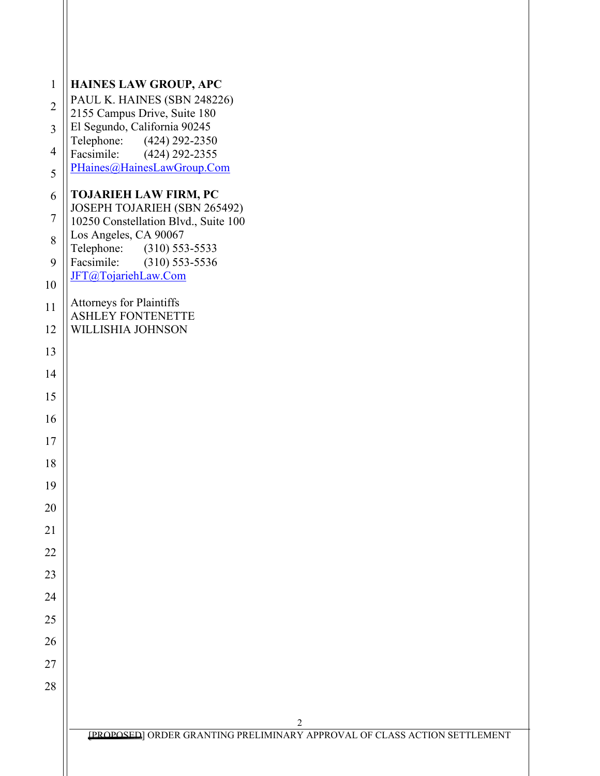| $\mathbf{1}$   | HAINES LAW GROUP, APC                                                     |
|----------------|---------------------------------------------------------------------------|
| $\overline{2}$ | PAUL K. HAINES (SBN 248226)<br>2155 Campus Drive, Suite 180               |
| $\overline{3}$ | El Segundo, California 90245                                              |
| $\overline{4}$ | Telephone: (424) 292-2350<br>Facsimile: (424) 292-2355                    |
| 5              | PHaines@HainesLawGroup.Com                                                |
| 6              | <b>TOJARIEH LAW FIRM, PC</b>                                              |
| $\overline{7}$ | JOSEPH TOJARIEH (SBN 265492)<br>10250 Constellation Blvd., Suite 100      |
| 8              | Los Angeles, CA 90067                                                     |
| 9              | Telephone: (310) 553-5533<br>Facsimile:<br>$(310)$ 553-5536               |
| 10             | JFT@TojariehLaw.Com                                                       |
| 11             | <b>Attorneys for Plaintiffs</b><br><b>ASHLEY FONTENETTE</b>               |
| 12             | WILLISHIA JOHNSON                                                         |
| 13             |                                                                           |
| 14             |                                                                           |
| 15             |                                                                           |
| 16             |                                                                           |
| 17             |                                                                           |
| 18             |                                                                           |
| 19             |                                                                           |
| 20             |                                                                           |
| 21             |                                                                           |
| 22             |                                                                           |
| 23             |                                                                           |
| 24             |                                                                           |
| 25             |                                                                           |
| 26             |                                                                           |
| 27             |                                                                           |
| 28             |                                                                           |
|                | $\overline{c}$                                                            |
|                | [PROPOSED] ORDER GRANTING PRELIMINARY APPROVAL OF CLASS ACTION SETTLEMENT |
|                |                                                                           |
|                |                                                                           |

 $\mathbb{I}$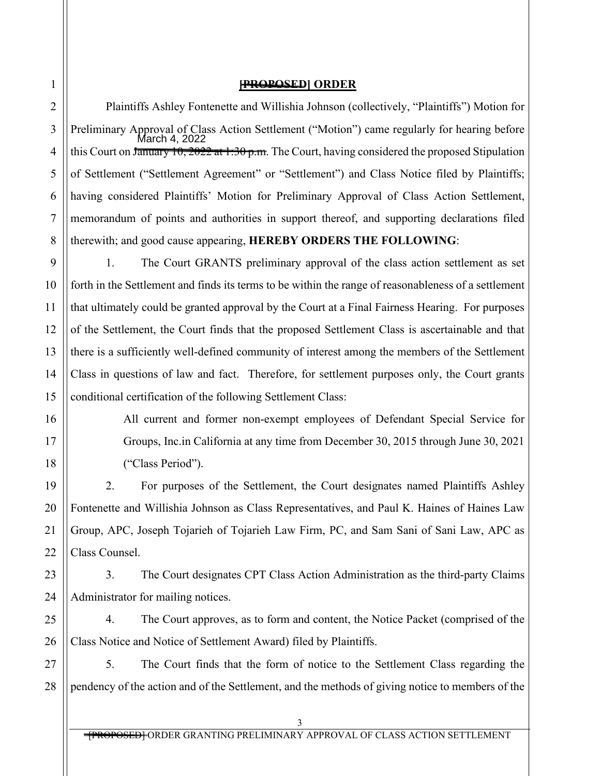1

2

3

4

5

6

7

8

9

10

11

12

## **[PROPOSED] ORDER**

Plaintiffs Ashley Fontenette and Willishia Johnson (collectively, "Plaintiffs") Motion for Preliminary Approval of Class Action Settlement ("Motion") came regularly for hearing before this Court on January 10, 2022 at 1:30 p.m. The Court, having considered the proposed Stipulation of Settlement ("Settlement Agreement" or "Settlement") and Class Notice filed by Plaintiffs; having considered Plaintiffs' Motion for Preliminary Approval of Class Action Settlement, memorandum of points and authorities in support thereof, and supporting declarations filed therewith; and good cause appearing, **HEREBY ORDERS THE FOLLOWING**: Tab&@ABG<del>C</del>GC

1. The Court GRANTS preliminary approval of the class action settlement as set forth in the Settlement and finds its terms to be within the range of reasonableness of a settlement that ultimately could be granted approval by the Court at a Final Fairness Hearing. For purposes of the Settlement, the Court finds that the proposed Settlement Class is ascertainable and that there is a sufficiently well-defined community of interest among the members of the Settlement Class in questions of law and fact. Therefore, for settlement purposes only, the Court grants conditional certification of the following Settlement Class:

> All current and former non-exempt employees of Defendant Special Service for Groups, Inc.in California at any time from December 30, 2015 through June 30, 2021 ("Class Period").

2. For purposes of the Settlement, the Court designates named Plaintiffs Ashley Fontenette and Willishia Johnson as Class Representatives, and Paul K. Haines of Haines Law Group, APC, Joseph Tojarieh of Tojarieh Law Firm, PC, and Sam Sani of Sani Law, APC as Class Counsel.

3. The Court designates CPT Class Action Administration as the third-party Claims Administrator for mailing notices.

4. The Court approves, as to form and content, the Notice Packet (comprised of the Class Notice and Notice of Settlement Award) filed by Plaintiffs.

5. The Court finds that the form of notice to the Settlement Class regarding the pendency of the action and of the Settlement, and the methods of giving notice to members of the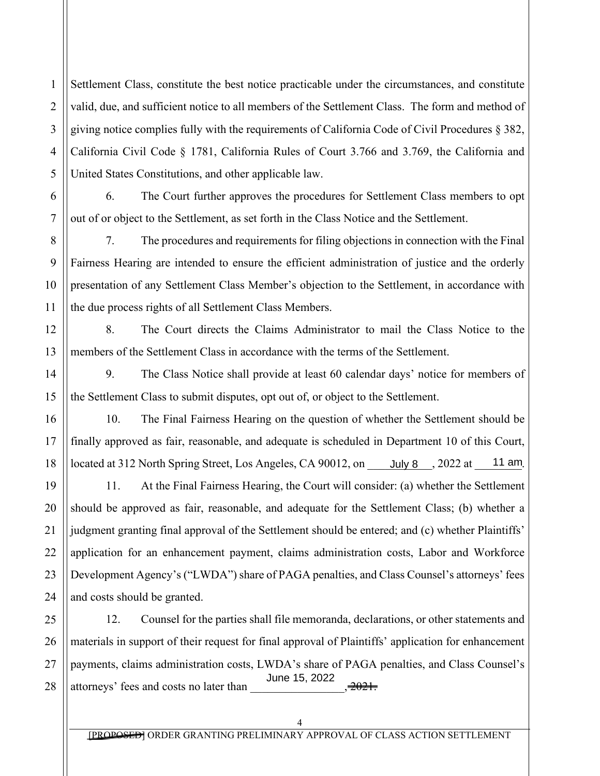2 3 4 5 Settlement Class, constitute the best notice practicable under the circumstances, and constitute valid, due, and sufficient notice to all members of the Settlement Class. The form and method of giving notice complies fully with the requirements of California Code of Civil Procedures § 382, California Civil Code § 1781, California Rules of Court 3.766 and 3.769, the California and United States Constitutions, and other applicable law.

1

6

7

8

9

10

11

12

13

14

15

16

17

18

19

20

21

22

23

24

6. The Court further approves the procedures for Settlement Class members to opt out of or object to the Settlement, as set forth in the Class Notice and the Settlement.

7. The procedures and requirements for filing objections in connection with the Final Fairness Hearing are intended to ensure the efficient administration of justice and the orderly presentation of any Settlement Class Member's objection to the Settlement, in accordance with the due process rights of all Settlement Class Members.

8. The Court directs the Claims Administrator to mail the Class Notice to the members of the Settlement Class in accordance with the terms of the Settlement.

9. The Class Notice shall provide at least 60 calendar days' notice for members of the Settlement Class to submit disputes, opt out of, or object to the Settlement.

10. The Final Fairness Hearing on the question of whether the Settlement should be finally approved as fair, reasonable, and adequate is scheduled in Department 10 of this Court, located at 312 North Spring Street, Los Angeles, CA 90012, on  $R \upharpoonright \hat{A}$ , 2022 at  $R \upharpoonright \hat{A}$ .

11. At the Final Fairness Hearing, the Court will consider: (a) whether the Settlement should be approved as fair, reasonable, and adequate for the Settlement Class; (b) whether a judgment granting final approval of the Settlement should be entered; and (c) whether Plaintiffs' application for an enhancement payment, claims administration costs, Labor and Workforce Development Agency's ("LWDA") share of PAGA penalties, and Class Counsel's attorneys' fees and costs should be granted.

25 26 27 28 12. Counsel for the parties shall file memoranda, declarations, or other statements and materials in support of their request for final approval of Plaintiffs' application for enhancement payments, claims administration costs, LWDA's share of PAGA penalties, and Class Counsel's attorneys' fees and costs no later than  $.$  $R$ <sup> $\wedge$  $k$ FÍ $k$ GEGG</sup>

4